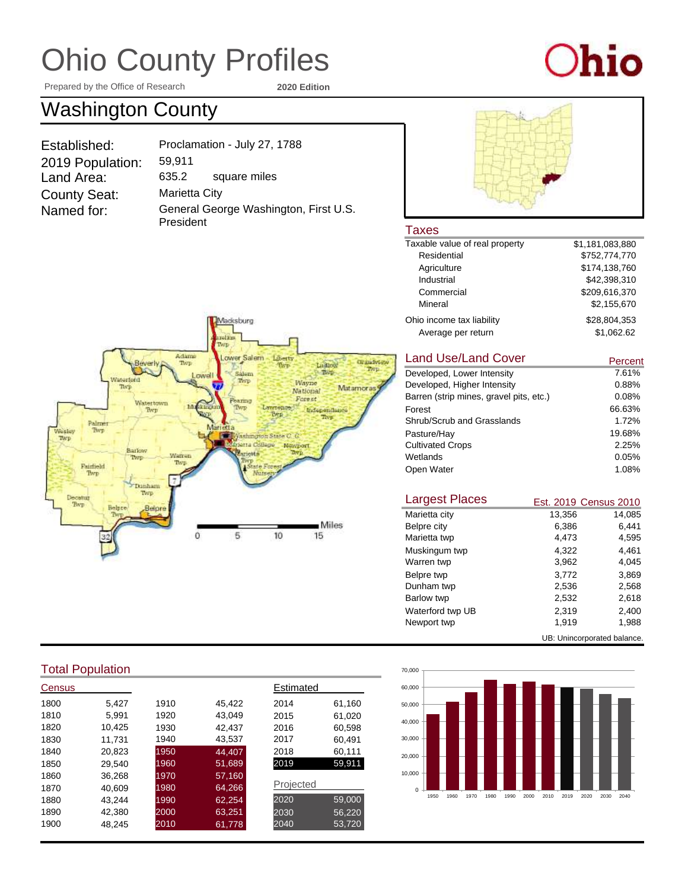Prepared by the Office of Research **2020 Edition**

# **Ohio**

### Washington County

| Established:        |
|---------------------|
| 2019 Population:    |
| Land Area:          |
| <b>County Seat:</b> |
| Named for:          |
|                     |

General George Washington, First U.S. President Proclamation - July 27, 1788 59,911 635.2 **Marietta City** square miles



### Taxes<br>Taxable

| Taxable value of real property | \$1,181,083,880 |
|--------------------------------|-----------------|
| Residential                    | \$752,774,770   |
| Agriculture                    | \$174,138,760   |
| Industrial                     | \$42,398,310    |
| Commercial                     | \$209,616,370   |
| Mineral                        | \$2,155,670     |
| Ohio income tax liability      | \$28,804,353    |
| Average per return             | \$1.062.62      |

#### Land Use/Land Cover

| Land Use/Land Cover                     | Percent |
|-----------------------------------------|---------|
| Developed, Lower Intensity              | 7.61%   |
| Developed, Higher Intensity             | 0.88%   |
| Barren (strip mines, gravel pits, etc.) | 0.08%   |
| Forest                                  | 66.63%  |
| Shrub/Scrub and Grasslands              | 1.72%   |
| Pasture/Hay                             | 19.68%  |
| <b>Cultivated Crops</b>                 | 2.25%   |
| Wetlands                                | 0.05%   |
| Open Water                              | 1.08%   |
|                                         |         |

| <b>Largest Places</b> |                             | Est. 2019 Census 2010 |
|-----------------------|-----------------------------|-----------------------|
| Marietta city         | 13,356                      | 14,085                |
| Belpre city           | 6,386                       | 6,441                 |
| Marietta twp          | 4,473                       | 4,595                 |
| Muskingum twp         | 4,322                       | 4.461                 |
| Warren twp            | 3.962                       | 4.045                 |
| Belpre twp            | 3.772                       | 3.869                 |
| Dunham twp            | 2,536                       | 2,568                 |
| Barlow twp            | 2,532                       | 2,618                 |
| Waterford twp UB      | 2,319                       | 2,400                 |
| Newport twp           | 1,919                       | 1,988                 |
|                       | UB: Unincorporated balance. |                       |





#### Total Population

| Census |        |      |        | Estimated |        |
|--------|--------|------|--------|-----------|--------|
| 1800   | 5,427  | 1910 | 45,422 | 2014      | 61,160 |
| 1810   | 5.991  | 1920 | 43.049 | 2015      | 61,020 |
| 1820   | 10,425 | 1930 | 42,437 | 2016      | 60,598 |
| 1830   | 11.731 | 1940 | 43,537 | 2017      | 60,491 |
| 1840   | 20,823 | 1950 | 44,407 | 2018      | 60,111 |
| 1850   | 29.540 | 1960 | 51,689 | 2019      | 59,911 |
| 1860   | 36.268 | 1970 | 57,160 |           |        |
| 1870   | 40,609 | 1980 | 64,266 | Projected |        |
| 1880   | 43,244 | 1990 | 62,254 | 2020      | 59,000 |
| 1890   | 42,380 | 2000 | 63,251 | 2030      | 56,220 |
| 1900   | 48.245 | 2010 | 61,778 | 2040      | 53.720 |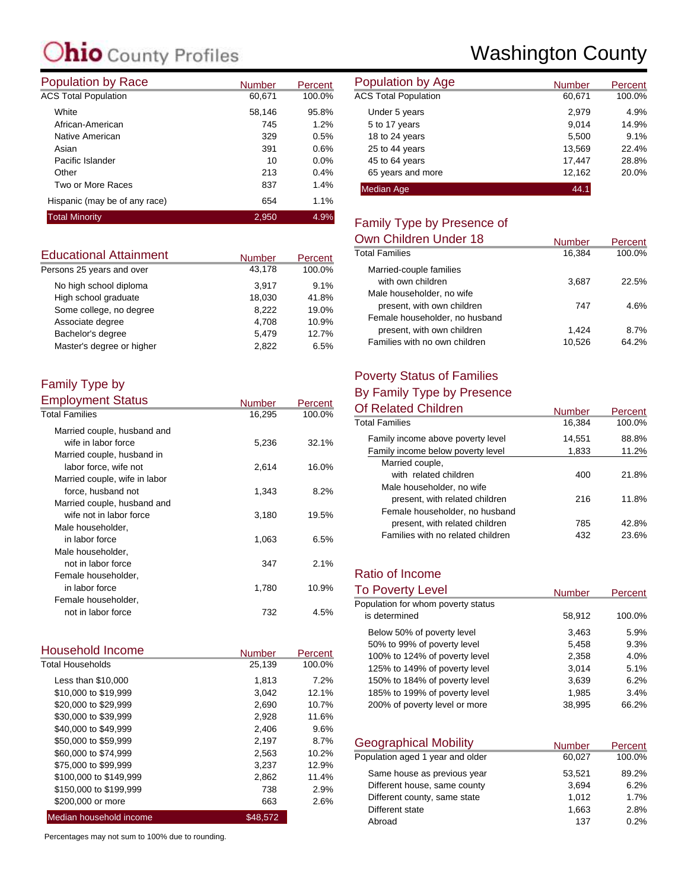| <b>Population by Race</b>     | <b>Number</b> | Percent | <b>Population by Age</b>    |
|-------------------------------|---------------|---------|-----------------------------|
| <b>ACS Total Population</b>   | 60,671        | 100.0%  | <b>ACS Total Population</b> |
| White                         | 58,146        | 95.8%   | Under 5 years               |
| African-American              | 745           | 1.2%    | 5 to 17 years               |
| Native American               | 329           | 0.5%    | 18 to 24 years              |
| Asian                         | 391           | 0.6%    | 25 to 44 years              |
| Pacific Islander              | 10            | 0.0%    | 45 to 64 years              |
| Other                         | 213           | 0.4%    | 65 years and more           |
| Two or More Races             | 837           | 1.4%    | <b>Median Age</b>           |
| Hispanic (may be of any race) | 654           | 1.1%    |                             |
| <b>Total Minority</b>         | 2,950         | 4.9%    | Eamily Type by Dr           |

| <b>Educational Attainment</b> | <b>Number</b> | Percent |
|-------------------------------|---------------|---------|
| Persons 25 years and over     | 43,178        | 100.0%  |
| No high school diploma        | 3.917         | 9.1%    |
| High school graduate          | 18,030        | 41.8%   |
| Some college, no degree       | 8.222         | 19.0%   |
| Associate degree              | 4.708         | 10.9%   |
| Bachelor's degree             | 5,479         | 12.7%   |
| Master's degree or higher     | 2.822         | 6.5%    |

#### Family Type by Employment Status

| Employment Status             | Number | Percent |
|-------------------------------|--------|---------|
| <b>Total Families</b>         | 16,295 | 100.0%  |
| Married couple, husband and   |        |         |
| wife in labor force           | 5,236  | 32.1%   |
| Married couple, husband in    |        |         |
| labor force, wife not         | 2,614  | 16.0%   |
| Married couple, wife in labor |        |         |
| force, husband not            | 1,343  | 8.2%    |
| Married couple, husband and   |        |         |
| wife not in labor force       | 3,180  | 19.5%   |
| Male householder,             |        |         |
| in labor force                | 1,063  | 6.5%    |
| Male householder,             |        |         |
| not in labor force            | 347    | 2.1%    |
| Female householder,           |        |         |
| in labor force                | 1,780  | 10.9%   |
| Female householder,           |        |         |
| not in labor force            | 732    | 4.5%    |

| Household Income        | <b>Number</b> | Percent |
|-------------------------|---------------|---------|
| <b>Total Households</b> | 25,139        | 100.0%  |
| Less than \$10,000      | 1,813         | 7.2%    |
| \$10,000 to \$19,999    | 3.042         | 12.1%   |
| \$20,000 to \$29,999    | 2,690         | 10.7%   |
| \$30,000 to \$39,999    | 2,928         | 11.6%   |
| \$40,000 to \$49,999    | 2,406         | 9.6%    |
| \$50,000 to \$59,999    | 2,197         | 8.7%    |
| \$60,000 to \$74,999    | 2,563         | 10.2%   |
| \$75,000 to \$99,999    | 3,237         | 12.9%   |
| \$100,000 to \$149,999  | 2,862         | 11.4%   |
| \$150,000 to \$199,999  | 738           | 2.9%    |
| \$200,000 or more       | 663           | 2.6%    |
| Median household income | \$48,572      |         |

Percentages may not sum to 100% due to rounding.

### Washington County

| <b>Number</b> | Percent | Population by Age           | <b>Number</b> | Percent |
|---------------|---------|-----------------------------|---------------|---------|
| 60,671        | 100.0%  | <b>ACS Total Population</b> | 60,671        | 100.0%  |
| 58,146        | 95.8%   | Under 5 years               | 2,979         | 4.9%    |
| 745           | 1.2%    | 5 to 17 years               | 9.014         | 14.9%   |
| 329           | 0.5%    | 18 to 24 years              | 5,500         | 9.1%    |
| 391           | 0.6%    | 25 to 44 years              | 13,569        | 22.4%   |
| 10            | 0.0%    | 45 to 64 years              | 17,447        | 28.8%   |
| 213           | 0.4%    | 65 years and more           | 12,162        | 20.0%   |
| 837           | 1.4%    | <b>Median Age</b>           | 44.1          |         |

#### Family Type by Presence of

| Own Children Under 18          | <b>Number</b> | Percent |
|--------------------------------|---------------|---------|
| <b>Total Families</b>          | 16,384        | 100.0%  |
| Married-couple families        |               |         |
| with own children              | 3.687         | 22.5%   |
| Male householder, no wife      |               |         |
| present, with own children     | 747           | 4.6%    |
| Female householder, no husband |               |         |
| present, with own children     | 1.424         | 8.7%    |
| Families with no own children  | 10.526        | 64.2%   |

#### Poverty Status of Families

| By Family Type by Presence        |               |         |
|-----------------------------------|---------------|---------|
| Of Related Children               | <b>Number</b> | Percent |
| <b>Total Families</b>             | 16,384        | 100.0%  |
| Family income above poverty level | 14,551        | 88.8%   |
| Family income below poverty level | 1,833         | 11.2%   |
| Married couple,                   |               |         |
| with related children             | 400           | 21.8%   |
| Male householder, no wife         |               |         |
| present, with related children    | 216           | 11.8%   |
| Female householder, no husband    |               |         |
| present, with related children    | 785           | 42.8%   |
| Families with no related children | 432           | 23.6%   |

#### Ratio of Income

| <b>To Poverty Level</b>            | <b>Number</b> | Percent |
|------------------------------------|---------------|---------|
| Population for whom poverty status |               |         |
| is determined                      | 58,912        | 100.0%  |
| Below 50% of poverty level         | 3,463         | 5.9%    |
| 50% to 99% of poverty level        | 5,458         | 9.3%    |
| 100% to 124% of poverty level      | 2,358         | 4.0%    |
| 125% to 149% of poverty level      | 3.014         | 5.1%    |
| 150% to 184% of poverty level      | 3,639         | 6.2%    |
| 185% to 199% of poverty level      | 1.985         | $3.4\%$ |
| 200% of poverty level or more      | 38.995        | 66.2%   |

| <b>Geographical Mobility</b>     | <b>Number</b> | Percent |
|----------------------------------|---------------|---------|
| Population aged 1 year and older | 60,027        | 100.0%  |
| Same house as previous year      | 53,521        | 89.2%   |
| Different house, same county     | 3.694         | 6.2%    |
| Different county, same state     | 1.012         | 1.7%    |
| Different state                  | 1,663         | 2.8%    |
| Abroad                           | 137           | 0.2%    |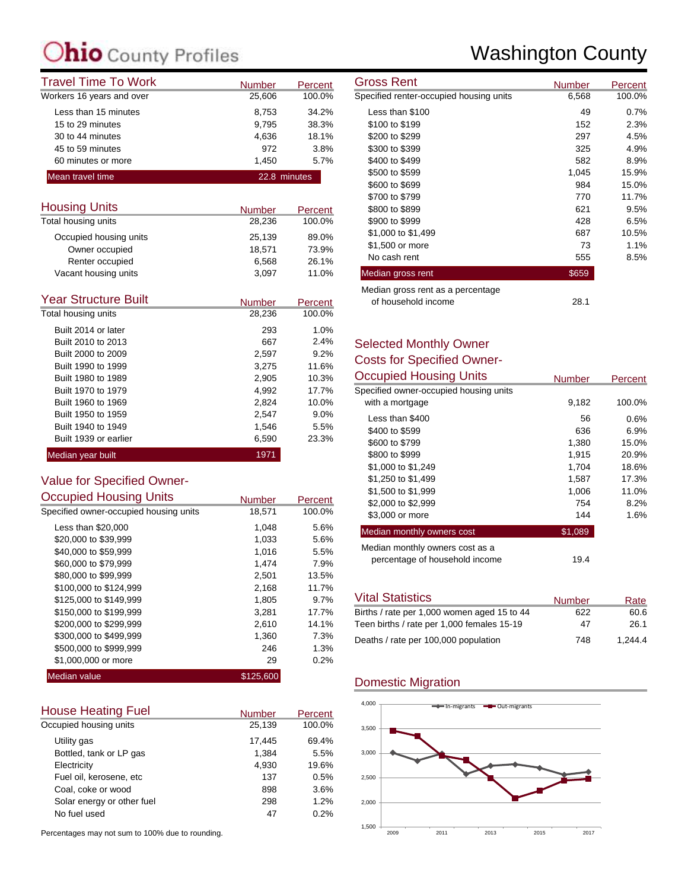### **C**ounty Profiles

| <b>Travel Time To Work</b> | <b>Number</b> | Percent | <b>Gross Rent</b>                       | Number |
|----------------------------|---------------|---------|-----------------------------------------|--------|
| Workers 16 years and over  | 25.606        | 100.0%  | Specified renter-occupied housing units | 6.568  |
| Less than 15 minutes       | 8.753         | 34.2%   | Less than \$100                         | 49     |
| 15 to 29 minutes           | 9.795         | 38.3%   | \$100 to \$199                          | 152    |
| 30 to 44 minutes           | 4.636         | 18.1%   | \$200 to \$299                          | 297    |
| 45 to 59 minutes           | 972           | 3.8%    | \$300 to \$399                          | 325    |
| 60 minutes or more         | 1.450         | 5.7%    | \$400 to \$499                          | 582    |
| Mean travel time           | 22.8 minutes  |         | \$500 to \$599                          | 1,045  |
|                            |               |         | $\cdots$                                | $  -$  |

| <b>Housing Units</b>   | <b>Number</b> | Percent |
|------------------------|---------------|---------|
| Total housing units    | 28,236        | 100.0%  |
| Occupied housing units | 25.139        | 89.0%   |
| Owner occupied         | 18.571        | 73.9%   |
| Renter occupied        | 6.568         | 26.1%   |
| Vacant housing units   | 3.097         | 11.0%   |

| <b>Year Structure Built</b> | <b>Number</b> | Percent |
|-----------------------------|---------------|---------|
| Total housing units         | 28,236        | 100.0%  |
| Built 2014 or later         | 293           | 1.0%    |
| Built 2010 to 2013          | 667           | 2.4%    |
| Built 2000 to 2009          | 2,597         | 9.2%    |
| Built 1990 to 1999          | 3.275         | 11.6%   |
| Built 1980 to 1989          | 2,905         | 10.3%   |
| Built 1970 to 1979          | 4,992         | 17.7%   |
| Built 1960 to 1969          | 2,824         | 10.0%   |
| Built 1950 to 1959          | 2,547         | 9.0%    |
| Built 1940 to 1949          | 1.546         | 5.5%    |
| Built 1939 or earlier       | 6,590         | 23.3%   |
| Median year built           | 1971          |         |

#### Value for Specified Owner-

| <b>Occupied Housing Units</b>          | <b>Number</b> | Percent |
|----------------------------------------|---------------|---------|
| Specified owner-occupied housing units | 18,571        | 100.0%  |
| Less than \$20,000                     | 1,048         | 5.6%    |
| \$20,000 to \$39,999                   | 1,033         | 5.6%    |
| \$40,000 to \$59.999                   | 1,016         | 5.5%    |
| \$60,000 to \$79,999                   | 1,474         | 7.9%    |
| \$80,000 to \$99,999                   | 2,501         | 13.5%   |
| \$100,000 to \$124,999                 | 2,168         | 11.7%   |
| \$125,000 to \$149,999                 | 1,805         | 9.7%    |
| \$150,000 to \$199,999                 | 3,281         | 17.7%   |
| \$200,000 to \$299,999                 | 2,610         | 14.1%   |
| \$300,000 to \$499,999                 | 1,360         | 7.3%    |
| \$500,000 to \$999,999                 | 246           | 1.3%    |
| \$1,000,000 or more                    | 29            | 0.2%    |
| <b>Median value</b>                    | \$125.600     |         |

| <b>House Heating Fuel</b>  | <b>Number</b> | Percent |
|----------------------------|---------------|---------|
| Occupied housing units     | 25,139        | 100.0%  |
| Utility gas                | 17,445        | 69.4%   |
| Bottled, tank or LP gas    | 1,384         | 5.5%    |
| Electricity                | 4,930         | 19.6%   |
| Fuel oil, kerosene, etc    | 137           | 0.5%    |
| Coal, coke or wood         | 898           | 3.6%    |
| Solar energy or other fuel | 298           | 1.2%    |
| No fuel used               | 47            | 0.2%    |

Percentages may not sum to 100% due to rounding.

### Washington County

| Gross Rent                              | Number | Percent |
|-----------------------------------------|--------|---------|
| Specified renter-occupied housing units | 6,568  | 100.0%  |
| Less than \$100                         | 49     | 0.7%    |
| \$100 to \$199                          | 152    | 2.3%    |
| \$200 to \$299                          | 297    | 4.5%    |
| \$300 to \$399                          | 325    | 4.9%    |
| \$400 to \$499                          | 582    | 8.9%    |
| \$500 to \$599                          | 1,045  | 15.9%   |
| \$600 to \$699                          | 984    | 15.0%   |
| \$700 to \$799                          | 770    | 11.7%   |
| \$800 to \$899                          | 621    | 9.5%    |
| \$900 to \$999                          | 428    | 6.5%    |
| \$1,000 to \$1,499                      | 687    | 10.5%   |
| \$1,500 or more                         | 73     | 1.1%    |
| No cash rent                            | 555    | 8.5%    |
| Median gross rent                       | \$659  |         |
| Median gross rent as a percentage       |        |         |
| of household income                     | 28.1   |         |

#### Selected Monthly Owner Costs for Specified Owner-

| <b>Occupied Housing Units</b>          | <b>Number</b> | Percent |
|----------------------------------------|---------------|---------|
| Specified owner-occupied housing units |               |         |
| with a mortgage                        | 9,182         | 100.0%  |
| Less than \$400                        | 56            | $0.6\%$ |
| \$400 to \$599                         | 636           | 6.9%    |
| \$600 to \$799                         | 1,380         | 15.0%   |
| \$800 to \$999                         | 1,915         | 20.9%   |
| \$1,000 to \$1,249                     | 1,704         | 18.6%   |
| \$1,250 to \$1,499                     | 1,587         | 17.3%   |
| \$1,500 to \$1,999                     | 1,006         | 11.0%   |
| \$2,000 to \$2,999                     | 754           | 8.2%    |
| \$3,000 or more                        | 144           | $1.6\%$ |
| Median monthly owners cost             | \$1,089       |         |
| Median monthly owners cost as a        |               |         |
| percentage of household income         | 19.4          |         |

| <b>Vital Statistics</b>                     | <b>Number</b> | Rate    |
|---------------------------------------------|---------------|---------|
| Births / rate per 1,000 women aged 15 to 44 | 622           | 60.6    |
| Teen births / rate per 1,000 females 15-19  | 47            | 26.1    |
| Deaths / rate per 100,000 population        | 748           | 1.244.4 |

#### Domestic Migration

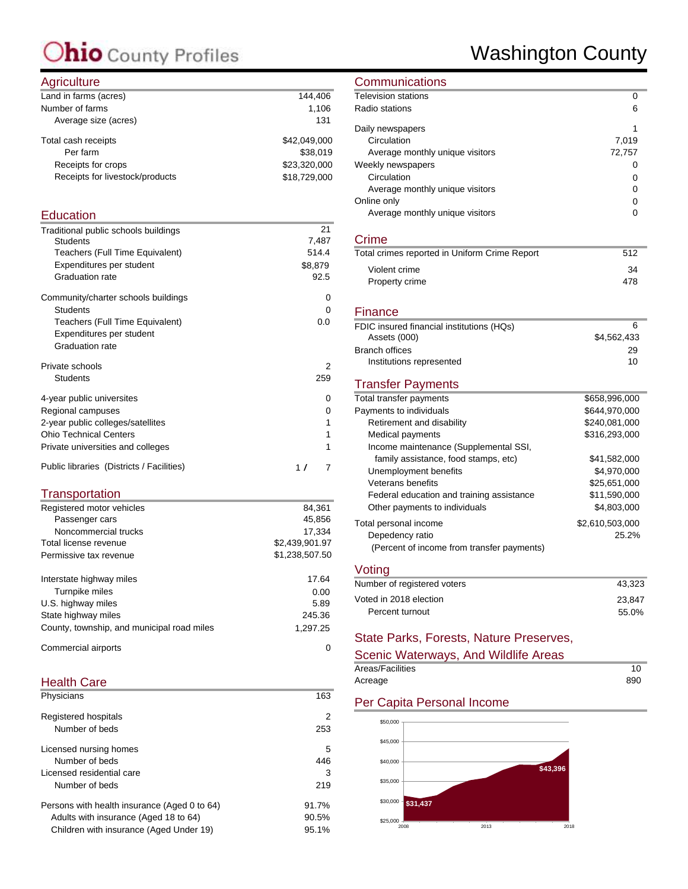### Washington County

#### **Agriculture**

| $1.9110$ and $0.01$             |              |
|---------------------------------|--------------|
| Land in farms (acres)           | 144,406      |
| Number of farms                 | 1,106        |
| Average size (acres)            | 131          |
| Total cash receipts             | \$42.049.000 |
| Per farm                        | \$38,019     |
| Receipts for crops              | \$23,320,000 |
| Receipts for livestock/products | \$18,729,000 |
|                                 |              |

#### **Education**

| Traditional public schools buildings | 21      |
|--------------------------------------|---------|
| <b>Students</b>                      | 7,487   |
| Teachers (Full Time Equivalent)      | 514.4   |
| Expenditures per student             | \$8,879 |
| <b>Graduation rate</b>               | 92.5    |
| Community/charter schools buildings  | 0       |
| <b>Students</b>                      | 0       |
| Teachers (Full Time Equivalent)      | 0.0     |
| Expenditures per student             |         |
| <b>Graduation rate</b>               |         |
| Private schools                      | 2       |
|                                      |         |
| <b>Students</b>                      | 259     |
| 4-year public universites            | 0       |
| Regional campuses                    | 0       |
| 2-year public colleges/satellites    | 1       |
| <b>Ohio Technical Centers</b>        | 1       |
| Private universities and colleges    | 1       |

#### **Transportation**

| Registered motor vehicles                  | 84.361         |
|--------------------------------------------|----------------|
| Passenger cars                             | 45.856         |
| Noncommercial trucks                       | 17.334         |
| Total license revenue                      | \$2,439,901.97 |
| Permissive tax revenue                     | \$1,238,507.50 |
| Interstate highway miles                   | 17.64          |
| Turnpike miles                             | 0.00           |
| U.S. highway miles                         | 5.89           |
| State highway miles                        | 245.36         |
| County, township, and municipal road miles | 1.297.25       |
| Commercial airports                        | O              |

#### Health Care

| Physicians                                   | 163            |
|----------------------------------------------|----------------|
| Registered hospitals                         | $\overline{2}$ |
| Number of beds                               | 253            |
| Licensed nursing homes                       | 5              |
| Number of beds                               | 446            |
| Licensed residential care                    | 3              |
| Number of beds                               | 219            |
| Persons with health insurance (Aged 0 to 64) | 91.7%          |
| Adults with insurance (Aged 18 to 64)        | 90.5%          |
| Children with insurance (Aged Under 19)      | 95.1%          |
|                                              |                |

#### **Communications**

| Television stations                           | 0               |
|-----------------------------------------------|-----------------|
| Radio stations                                | 6               |
| Daily newspapers                              | 1               |
| Circulation                                   | 7,019           |
| Average monthly unique visitors               | 72,757          |
| Weekly newspapers                             | 0               |
| Circulation                                   | 0               |
| Average monthly unique visitors               | 0               |
| Online only                                   | 0               |
| Average monthly unique visitors               | 0               |
| Crime                                         |                 |
| Total crimes reported in Uniform Crime Report | 512             |
| Violent crime                                 | 34              |
| Property crime                                | 478             |
| Finance                                       |                 |
| FDIC insured financial institutions (HQs)     | 6               |
| Assets (000)                                  | \$4,562,433     |
| <b>Branch offices</b>                         | 29              |
| Institutions represented                      | 10              |
| <b>Transfer Payments</b>                      |                 |
| Total transfer payments                       | \$658,996,000   |
| Payments to individuals                       | \$644,970,000   |
| Retirement and disability                     | \$240,081,000   |
| Medical payments                              | \$316,293,000   |
| Income maintenance (Supplemental SSI,         |                 |
| family assistance, food stamps, etc)          | \$41,582,000    |
| Unemployment benefits                         | \$4,970,000     |
| Veterans benefits                             | \$25,651,000    |
| Federal education and training assistance     | \$11,590,000    |
| Other payments to individuals                 | \$4,803,000     |
| Total personal income                         | \$2,610,503,000 |
| Depedency ratio                               | 25.2%           |
| (Percent of income from transfer payments)    |                 |
| Voting                                        |                 |
| Number of registered voters                   | 43,323          |
| Voted in 2018 election                        | 23.847          |

#### Voted in 2018 election 23,847 Percent turnout 55.0%

#### State Parks, Forests, Nature Preserves,

| Scenic Waterways, And Wildlife Areas |     |
|--------------------------------------|-----|
| Areas/Facilities                     | 10  |
| Acreage                              | 890 |

#### Per Capita Personal Income